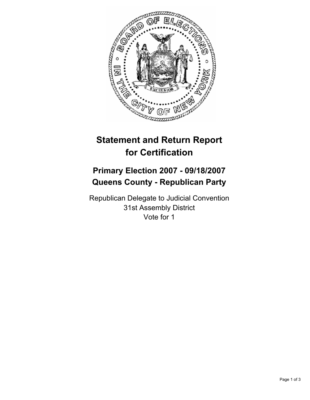

# **Statement and Return Report for Certification**

## **Primary Election 2007 - 09/18/2007 Queens County - Republican Party**

Republican Delegate to Judicial Convention 31st Assembly District Vote for 1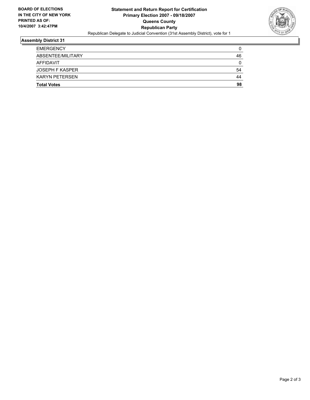

### **Assembly District 31**

| <b>Total Votes</b>     | 98 |
|------------------------|----|
| <b>KARYN PETERSEN</b>  | 44 |
| <b>JOSEPH F KASPER</b> | 54 |
| AFFIDAVIT              |    |
| ABSENTEE/MILITARY      | 46 |
| <b>EMERGENCY</b>       |    |